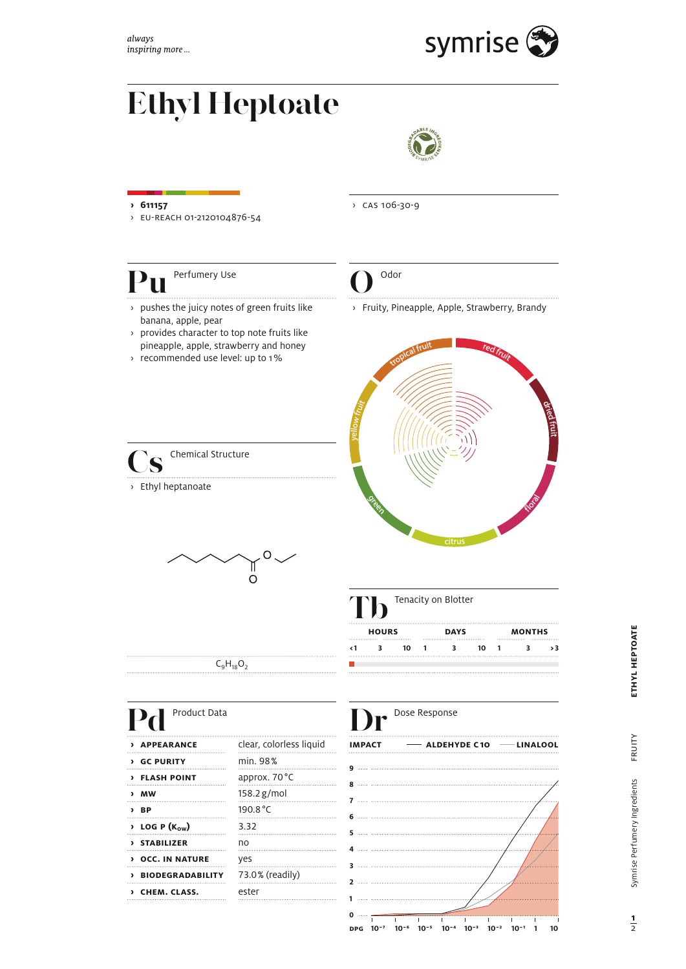

## **Ethyl Heptoate**



- **› 611157**
- › eu-reach 01-2120104876-54
- 
- banana, apple, pear
- **Pu Departumery Use**<br> **Public Space Section** Space of green fruits like<br>
Depends a provides character to top note fruits like<br>
pineapple, apple, strawberry and honey<br>
Public pineapple, apple, strawberry and honey › provides character to top note fruits like pineapple, apple, strawberry and honey
- › recommended use level: up to 1 %

**S** Chemical Structure

› Ethyl heptanoate



› cas 106-30-9

> pushes the juicy notes of green fruits like > Fruity, Pineapple, Apple, Strawberry, Brandy





|              |  |    |             | Tenacity on Blotter |    |               |  |  |
|--------------|--|----|-------------|---------------------|----|---------------|--|--|
| <b>HOURS</b> |  |    | <b>DAYS</b> |                     |    | <b>MONTHS</b> |  |  |
|              |  | 10 |             |                     | 10 |               |  |  |

 $C_9H_{18}O_2$ 

| Product Data                           | Dose Response           |               |                 |
|----------------------------------------|-------------------------|---------------|-----------------|
| > APPEARANCE                           | clear, colorless liquid | <b>IMPACT</b> | $\equiv$ ALDEHY |
| <b>&gt; GC PURITY</b>                  | min. 98%                |               |                 |
| > FLASH POINT                          | approx. 70 °C           |               |                 |
| > MW                                   | $158.2$ g/mol           |               |                 |
| > BP                                   | 190.8 °C                |               |                 |
| $\rightarrow$ LOG P (K <sub>ow</sub> ) | 3.32                    |               |                 |
| > STABILIZER                           | no                      |               |                 |
| <b>DICC. IN NATURE</b>                 | yes                     |               |                 |
| > BIODEGRADABILITY                     | 73.0% (readily)         |               |                 |
| > CHEM. CLASS.                         | ester                   |               |                 |
|                                        |                         |               |                 |



÷